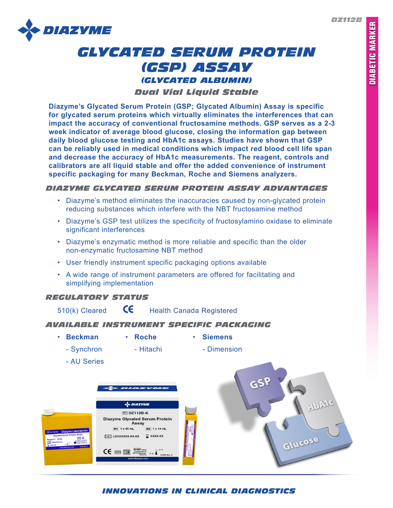*DZ112B*



# *GLYCATED SERUM PROTEIN (GSP) ASSAY (GLYCATED ALBUMIN)*

### *Dual Vial Liquid Stable*

**Diazyme's Glycated Serum Protein (GSP; Glycated Albumin) Assay is specific for glycated serum proteins which virtually eliminates the interferences that can impact the accuracy of conventional fructosamine methods. GSP serves as a 2-3 week indicator of average blood glucose, closing the information gap between daily blood glucose testing and HbA1c assays. Studies have shown that GSP can be reliably used in medical conditions which impact red blood cell life span and decrease the accuracy of HbA1c measurements. The reagent, controls and calibrators are all liquid stable and offer the added convenience of instrument specific packaging for many Beckman, Roche and Siemens analyzers.** 

#### *DIAZYME GLYCATED SERUM PROTEIN ASSAY ADVANTAGES*

- Diazyme's method eliminates the inaccuracies caused by non-glycated protein reducing substances which interfere with the NBT fructosamine method
- Diazyme's GSP test utilizes the specificity of fructosylamino oxidase to eliminate significant interferences
- Diazyme's enzymatic method is more reliable and specific than the older non-enzymatic fructosamine NBT method
- User friendly instrument specific packaging options available
- A wide range of instrument parameters are offered for facilitating and simplifying implementation

# *REGULATORY STATUS*

510(k) Cleared  $\mathsf{C}\mathsf{E}$  Health Canada Registered

#### *AVAILABLE INSTRUMENT SPECIFIC PACKAGING*

- **Beckman Roche Siemens**
	-
- Synchron Hitachi Dimension
	- AU Series



# *INNOVATIONS IN CLINICAL DIAGNOSTICS*